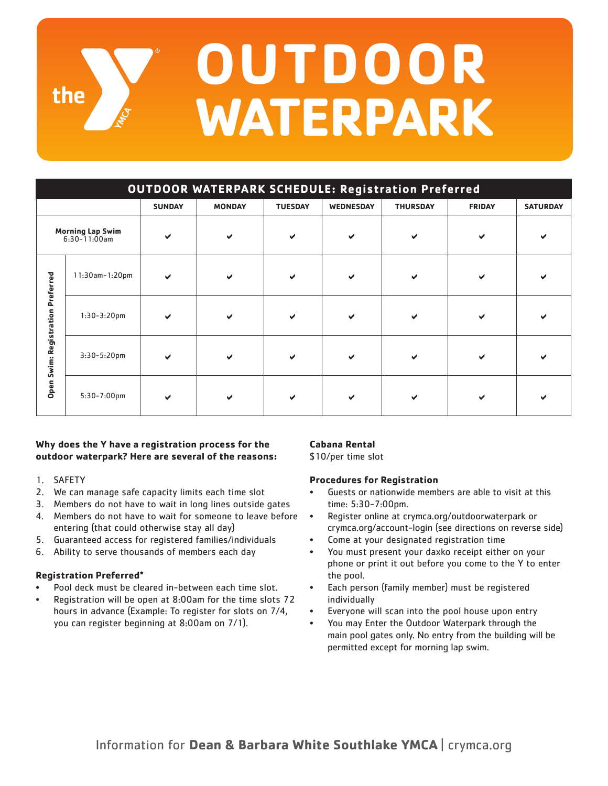# **OUTDOOR** the **WATERPARK**

| <b>OUTDOOR WATERPARK SCHEDULE: Registration Preferred</b> |                       |               |               |                |           |                 |               |                 |
|-----------------------------------------------------------|-----------------------|---------------|---------------|----------------|-----------|-----------------|---------------|-----------------|
|                                                           |                       | <b>SUNDAY</b> | <b>MONDAY</b> | <b>TUESDAY</b> | WEDNESDAY | <b>THURSDAY</b> | <b>FRIDAY</b> | <b>SATURDAY</b> |
| <b>Morning Lap Swim</b><br>$6:30 - 11:00$ am              |                       | ✔             | $\checkmark$  | ✔              | ✔         | ✔               |               |                 |
| Preferred<br>Registration<br>Swim:<br>Open                | $11:30$ am- $1:20$ pm | $\checkmark$  | ✔             |                | ✔         | ✔               |               |                 |
|                                                           | $1:30-3:20$ pm        | $\checkmark$  | ✔             |                | ✔         | ✔               |               |                 |
|                                                           | $3:30-5:20$ pm        | ✔             | ✔             |                | ✔         | ✔               |               |                 |
|                                                           | 5:30-7:00pm           | ✔             |               |                |           |                 |               |                 |

## **Why does the Y have a registration process for the outdoor waterpark? Here are several of the reasons:**

- 1. SAFETY
- 2. We can manage safe capacity limits each time slot
- 3. Members do not have to wait in long lines outside gates
- 4. Members do not have to wait for someone to leave before entering (that could otherwise stay all day)
- 5. Guaranteed access for registered families/individuals
- 6. Ability to serve thousands of members each day

## **Registration Preferred\***

- Pool deck must be cleared in-between each time slot.
- Registration will be open at 8:00am for the time slots 72 hours in advance (Example: To register for slots on 7/4, you can register beginning at 8:00am on 7/1).

## **Cabana Rental**

\$10/per time slot

## **Procedures for Registration**

- Guests or nationwide members are able to visit at this time: 5:30-7:00pm.
- Register online at crymca.org/outdoorwaterpark or crymca.org/account-login (see directions on reverse side)
- Come at your designated registration time
- You must present your daxko receipt either on your phone or print it out before you come to the Y to enter the pool.
- Each person (family member) must be registered individually
- Everyone will scan into the pool house upon entry
- You may Enter the Outdoor Waterpark through the main pool gates only. No entry from the building will be permitted except for morning lap swim.